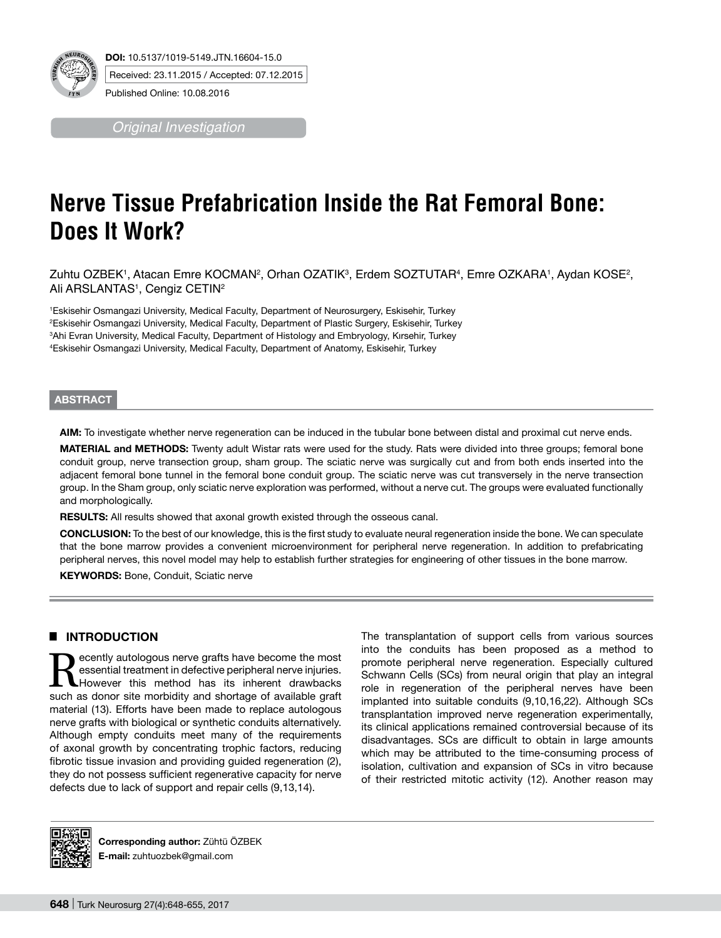

*Original Investigation*

# **Nerve Tissue Prefabrication Inside the Rat Femoral Bone: Does It Work?**

Zuhtu OZBEK', Atacan Emre KOCMAN<sup>2</sup>, Orhan OZATIK<sup>3</sup>, Erdem SOZTUTAR4, Emre OZKARA', Aydan KOSE<sup>2</sup>, Ali ARSLANTAS1, Cengiz CETIN<del>2</del>

 Eskisehir Osmangazi University, Medical Faculty, Department of Neurosurgery, Eskisehir, Turkey Eskisehir Osmangazi University, Medical Faculty, Department of Plastic Surgery, Eskisehir, Turkey Ahi Evran University, Medical Faculty, Department of Histology and Embryology, Kırsehir, Turkey Eskisehir Osmangazi University, Medical Faculty, Department of Anatomy, Eskisehir, Turkey

## **ABSTRACT**

**AIm:** To investigate whether nerve regeneration can be induced in the tubular bone between distal and proximal cut nerve ends.

**MATERIAL and METHODS:** Twenty adult Wistar rats were used for the study. Rats were divided into three groups; femoral bone conduit group, nerve transection group, sham group. The sciatic nerve was surgically cut and from both ends inserted into the adjacent femoral bone tunnel in the femoral bone conduit group. The sciatic nerve was cut transversely in the nerve transection group. In the Sham group, only sciatic nerve exploration was performed, without a nerve cut. The groups were evaluated functionally and morphologically.

**RESULTS:** All results showed that axonal growth existed through the osseous canal.

**ConclusIon:** To the best of our knowledge, this is the first study to evaluate neural regeneration inside the bone. We can speculate that the bone marrow provides a convenient microenvironment for peripheral nerve regeneration. In addition to prefabricating peripheral nerves, this novel model may help to establish further strategies for engineering of other tissues in the bone marrow.

**KEYWORDS: Bone, Conduit, Sciatic nerve** 

# █ **INTRODUCTION**

ecently autologous nerve grafts have become the most essential treatment in defective peripheral nerve injuries. However this method has its inherent drawbacks such as donor site morbidity and shortage of available graft material (13). Efforts have been made to replace autologous nerve grafts with biological or synthetic conduits alternatively. Although empty conduits meet many of the requirements of axonal growth by concentrating trophic factors, reducing fibrotic tissue invasion and providing guided regeneration (2), they do not possess sufficient regenerative capacity for nerve defects due to lack of support and repair cells (9,13,14).

The transplantation of support cells from various sources into the conduits has been proposed as a method to promote peripheral nerve regeneration. Especially cultured Schwann Cells (SCs) from neural origin that play an integral role in regeneration of the peripheral nerves have been implanted into suitable conduits (9,10,16,22). Although SCs transplantation improved nerve regeneration experimentally, its clinical applications remained controversial because of its disadvantages. SCs are difficult to obtain in large amounts which may be attributed to the time-consuming process of isolation, cultivation and expansion of SCs in vitro because of their restricted mitotic activity (12). Another reason may



**Corresponding author:** Zühtü ÖZBEK **E-mail:** zuhtuozbek@gmail.com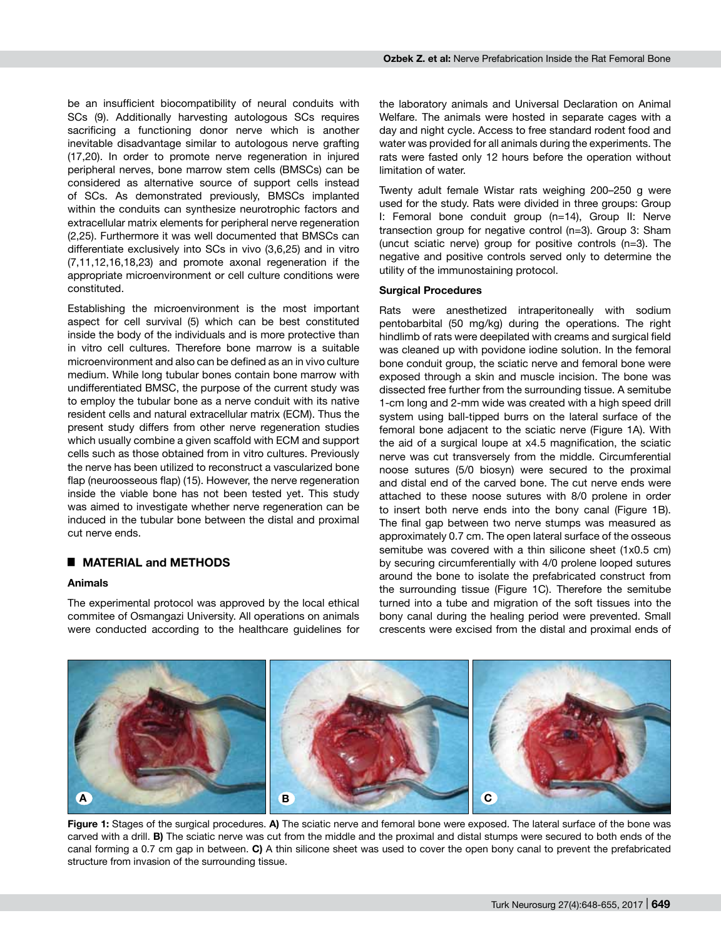be an insufficient biocompatibility of neural conduits with SCs (9). Additionally harvesting autologous SCs requires sacrificing a functioning donor nerve which is another inevitable disadvantage similar to autologous nerve grafting (17,20). In order to promote nerve regeneration in injured peripheral nerves, bone marrow stem cells (BMSCs) can be considered as alternative source of support cells instead of SCs. As demonstrated previously, BMSCs implanted within the conduits can synthesize neurotrophic factors and extracellular matrix elements for peripheral nerve regeneration (2,25). Furthermore it was well documented that BMSCs can differentiate exclusively into SCs in vivo (3,6,25) and in vitro (7,11,12,16,18,23) and promote axonal regeneration if the appropriate microenvironment or cell culture conditions were constituted.

Establishing the microenvironment is the most important aspect for cell survival (5) which can be best constituted inside the body of the individuals and is more protective than in vitro cell cultures. Therefore bone marrow is a suitable microenvironment and also can be defined as an in vivo culture medium. While long tubular bones contain bone marrow with undifferentiated BMSC, the purpose of the current study was to employ the tubular bone as a nerve conduit with its native resident cells and natural extracellular matrix (ECM). Thus the present study differs from other nerve regeneration studies which usually combine a given scaffold with ECM and support cells such as those obtained from in vitro cultures. Previously the nerve has been utilized to reconstruct a vascularized bone flap (neuroosseous flap) (15). However, the nerve regeneration inside the viable bone has not been tested yet. This study was aimed to investigate whether nerve regeneration can be induced in the tubular bone between the distal and proximal cut nerve ends.

## █ **MATERIAL and METHODS**

## **Animals**

The experimental protocol was approved by the local ethical commitee of Osmangazi University. All operations on animals were conducted according to the healthcare guidelines for the laboratory animals and Universal Declaration on Animal Welfare. The animals were hosted in separate cages with a day and night cycle. Access to free standard rodent food and water was provided for all animals during the experiments. The rats were fasted only 12 hours before the operation without limitation of water.

Twenty adult female Wistar rats weighing 200–250 g were used for the study. Rats were divided in three groups: Group I: Femoral bone conduit group (n=14), Group II: Nerve transection group for negative control (n=3). Group 3: Sham (uncut sciatic nerve) group for positive controls (n=3). The negative and positive controls served only to determine the utility of the immunostaining protocol.

## **Surgical Procedures**

Rats were anesthetized intraperitoneally with sodium pentobarbital (50 mg/kg) during the operations. The right hindlimb of rats were deepilated with creams and surgical field was cleaned up with povidone iodine solution. In the femoral bone conduit group, the sciatic nerve and femoral bone were exposed through a skin and muscle incision. The bone was dissected free further from the surrounding tissue. A semitube 1-cm long and 2-mm wide was created with a high speed drill system using ball-tipped burrs on the lateral surface of the femoral bone adjacent to the sciatic nerve (Figure 1A). With the aid of a surgical loupe at x4.5 magnification, the sciatic nerve was cut transversely from the middle. Circumferential noose sutures (5/0 biosyn) were secured to the proximal and distal end of the carved bone. The cut nerve ends were attached to these noose sutures with 8/0 prolene in order to insert both nerve ends into the bony canal (Figure 1B). The final gap between two nerve stumps was measured as approximately 0.7 cm. The open lateral surface of the osseous semitube was covered with a thin silicone sheet (1x0.5 cm) by securing circumferentially with 4/0 prolene looped sutures around the bone to isolate the prefabricated construct from the surrounding tissue (Figure 1c). Therefore the semitube turned into a tube and migration of the soft tissues into the bony canal during the healing period were prevented. Small crescents were excised from the distal and proximal ends of



**Figure 1:** Stages of the surgical procedures. **a)** The sciatic nerve and femoral bone were exposed. The lateral surface of the bone was carved with a drill. **b)** The sciatic nerve was cut from the middle and the proximal and distal stumps were secured to both ends of the canal forming a 0.7 cm gap in between. **c)** A thin silicone sheet was used to cover the open bony canal to prevent the prefabricated structure from invasion of the surrounding tissue.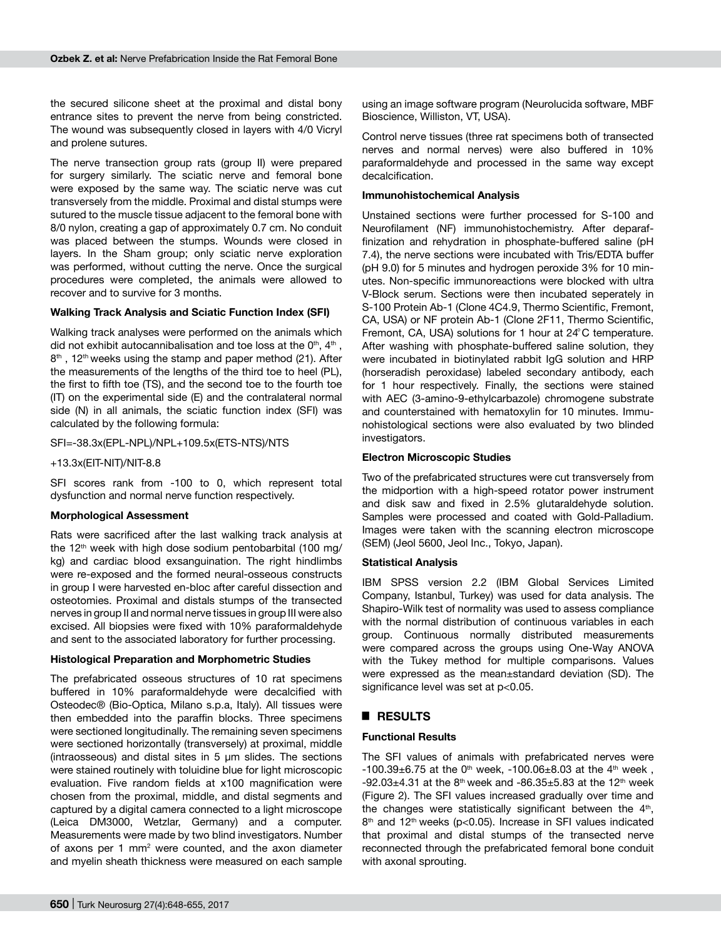the secured silicone sheet at the proximal and distal bony entrance sites to prevent the nerve from being constricted. The wound was subsequently closed in layers with 4/0 Vicryl and prolene sutures.

The nerve transection group rats (group II) were prepared for surgery similarly. The sciatic nerve and femoral bone were exposed by the same way. The sciatic nerve was cut transversely from the middle. Proximal and distal stumps were sutured to the muscle tissue adjacent to the femoral bone with 8/0 nylon, creating a gap of approximately 0.7 cm. No conduit was placed between the stumps. Wounds were closed in layers. In the Sham group; only sciatic nerve exploration was performed, without cutting the nerve. Once the surgical procedures were completed, the animals were allowed to recover and to survive for 3 months.

## **Walking Track Analysis and Sciatic Function Index (SFI)**

Walking track analyses were performed on the animals which did not exhibit autocannibalisation and toe loss at the  $0<sup>th</sup>$ ,  $4<sup>th</sup>$ ,  $8<sup>th</sup>$ , 12<sup>th</sup> weeks using the stamp and paper method (21). After the measurements of the lengths of the third toe to heel (PL), the first to fifth toe (TS), and the second toe to the fourth toe (IT) on the experimental side (E) and the contralateral normal side (N) in all animals, the sciatic function index (SFI) was calculated by the following formula:

#### SFI=-38.3x(EPL-NPL)/NPL+109.5x(ETS-NTS)/NTS

+13.3x(EIT-NIT)/NIT-8.8

SFI scores rank from -100 to 0, which represent total dysfunction and normal nerve function respectively.

#### **Morphological Assessment**

Rats were sacrificed after the last walking track analysis at the  $12<sup>th</sup>$  week with high dose sodium pentobarbital (100 mg/ kg) and cardiac blood exsanguination. The right hindlimbs were re-exposed and the formed neural-osseous constructs in group I were harvested en-bloc after careful dissection and osteotomies. Proximal and distals stumps of the transected nerves in group II and normal nerve tissues in group III were also excised. All biopsies were fixed with 10% paraformaldehyde and sent to the associated laboratory for further processing.

#### **Histological Preparation and Morphometric Studies**

The prefabricated osseous structures of 10 rat specimens buffered in 10% paraformaldehyde were decalcified with Osteodec® (Bio-Optica, Milano s.p.a, Italy). All tissues were then embedded into the paraffin blocks. Three specimens were sectioned longitudinally. The remaining seven specimens were sectioned horizontally (transversely) at proximal, middle (intraosseous) and distal sites in 5 µm slides. The sections were stained routinely with toluidine blue for light microscopic evaluation. Five random fields at x100 magnification were chosen from the proximal, middle, and distal segments and captured by a digital camera connected to a light microscope (Leica DM3000, Wetzlar, Germany) and a computer. Measurements were made by two blind investigators. Number of axons per 1 mm<sup>2</sup> were counted, and the axon diameter and myelin sheath thickness were measured on each sample Control nerve tissues (three rat specimens both of transected nerves and normal nerves) were also buffered in 10% paraformaldehyde and processed in the same way except decalcification.

#### **Immunohistochemical Analysis**

Unstained sections were further processed for S-100 and Neurofilament (NF) immunohistochemistry. After deparaffinization and rehydration in phosphate-buffered saline (pH 7.4), the nerve sections were incubated with Tris/EDTA buffer (pH 9.0) for 5 minutes and hydrogen peroxide 3% for 10 minutes. Non-specific immunoreactions were blocked with ultra V-Block serum. Sections were then incubated seperately in S-100 Protein Ab-1 (Clone 4C4.9, Thermo Scientific, Fremont, CA, USA) or NF protein Ab-1 (Clone 2F11, Thermo Scientific, Fremont, CA, USA) solutions for 1 hour at 24°C temperature. After washing with phosphate-buffered saline solution, they were incubated in biotinylated rabbit IgG solution and HRP (horseradish peroxidase) labeled secondary antibody, each for 1 hour respectively. Finally, the sections were stained with AEC (3-amino-9-ethylcarbazole) chromogene substrate and counterstained with hematoxylin for 10 minutes. Immunohistological sections were also evaluated by two blinded investigators.

#### **Electron Microscopic Studies**

Two of the prefabricated structures were cut transversely from the midportion with a high-speed rotator power instrument and disk saw and fixed in 2.5% glutaraldehyde solution. Samples were processed and coated with Gold-Palladium. Images were taken with the scanning electron microscope (SEM) (Jeol 5600, Jeol Inc., Tokyo, Japan).

#### **Statistical Analysis**

IBM SPSS version 2.2 (IBM Global Services Limited Company, Istanbul, Turkey) was used for data analysis. The Shapiro-Wilk test of normality was used to assess compliance with the normal distribution of continuous variables in each group. Continuous normally distributed measurements were compared across the groups using One-Way ANOVA with the Tukey method for multiple comparisons. Values were expressed as the mean±standard deviation (SD). The significance level was set at p<0.05.

## █ **RESULTS**

### **Functional Results**

The SFI values of animals with prefabricated nerves were  $-100.39\pm6.75$  at the 0<sup>th</sup> week,  $-100.06\pm8.03$  at the 4<sup>th</sup> week,  $-92.03\pm4.31$  at the 8<sup>th</sup> week and  $-86.35\pm5.83$  at the 12<sup>th</sup> week (Figure 2). The SFI values increased gradually over time and the changes were statistically significant between the  $4<sup>th</sup>$ ,  $8<sup>th</sup>$  and 12<sup>th</sup> weeks (p<0.05). Increase in SFI values indicated that proximal and distal stumps of the transected nerve reconnected through the prefabricated femoral bone conduit with axonal sprouting.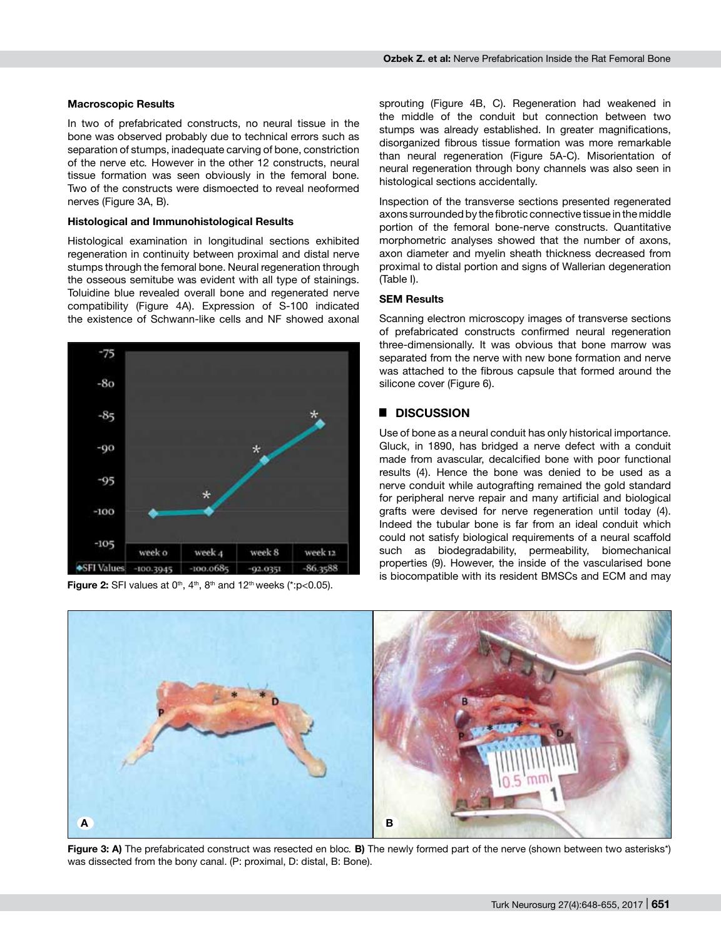#### **Macroscopic Results**

In two of prefabricated constructs, no neural tissue in the bone was observed probably due to technical errors such as separation of stumps, inadequate carving of bone, constriction of the nerve etc*.* However in the other 12 constructs, neural tissue formation was seen obviously in the femoral bone. Two of the constructs were dismoected to reveal neoformed nerves (Figure 3A, B).

#### **Histological and Immunohistological Results**

Histological examination in longitudinal sections exhibited regeneration in continuity between proximal and distal nerve stumps through the femoral bone. Neural regeneration through the osseous semitube was evident with all type of stainings. Toluidine blue revealed overall bone and regenerated nerve compatibility (Figure 4a). Expression of S-100 indicated the existence of Schwann-like cells and NF showed axonal



**Figure 2:** SFI values at  $0^{th}$ ,  $4^{th}$ ,  $8^{th}$  and  $12^{th}$  weeks (\*:p<0.05).

sprouting (Figure 4B, C). Regeneration had weakened in the middle of the conduit but connection between two stumps was already established. In greater magnifications, disorganized fibrous tissue formation was more remarkable than neural regeneration (Figure 5A-C). Misorientation of neural regeneration through bony channels was also seen in histological sections accidentally.

Inspection of the transverse sections presented regenerated axons surrounded by the fibrotic connective tissue in the middle portion of the femoral bone-nerve constructs. Quantitative morphometric analyses showed that the number of axons, axon diameter and myelin sheath thickness decreased from proximal to distal portion and signs of Wallerian degeneration (Table I).

#### **SEM Results**

Scanning electron microscopy images of transverse sections of prefabricated constructs confirmed neural regeneration three-dimensionally. It was obvious that bone marrow was separated from the nerve with new bone formation and nerve was attached to the fibrous capsule that formed around the silicone cover (Figure 6).

# █ **DISCUSSION**

Use of bone as a neural conduit has only historical importance. Gluck, in 1890, has bridged a nerve defect with a conduit made from avascular, decalcified bone with poor functional results (4). Hence the bone was denied to be used as a nerve conduit while autografting remained the gold standard for peripheral nerve repair and many artificial and biological grafts were devised for nerve regeneration until today (4). Indeed the tubular bone is far from an ideal conduit which could not satisfy biological requirements of a neural scaffold such as biodegradability, permeability, biomechanical properties (9). However, the inside of the vascularised bone is biocompatible with its resident BMSCs and ECM and may



**Figure 3: a)** The prefabricated construct was resected en bloc*.* **b)** The newly formed part of the nerve (shown between two asterisks\*) was dissected from the bony canal. (P: proximal, D: distal, B: Bone).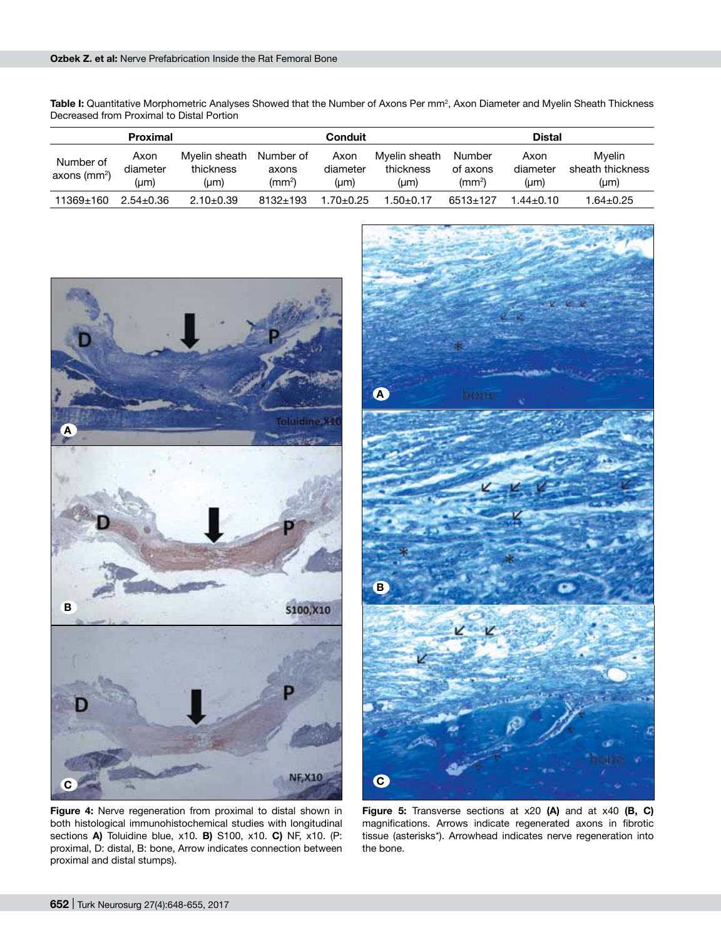**Table I:** Quantitative Morphometric Analyses Showed that the Number of Axons Per mm², Axon Diameter and Myelin Sheath Thickness Decreased from Proximal to Distal Portion

| Proximal                     |                          |                                         | Conduit                                  |                          |                                         | <b>Distal</b>                            |                               |                                         |
|------------------------------|--------------------------|-----------------------------------------|------------------------------------------|--------------------------|-----------------------------------------|------------------------------------------|-------------------------------|-----------------------------------------|
| Number of<br>axons ( $mm2$ ) | Axon<br>diameter<br>(um) | Myelin sheath<br>thickness<br>$(\mu m)$ | Number of<br>axons<br>(mm <sup>2</sup> ) | Axon<br>diameter<br>(µm) | Mvelin sheath<br>thickness<br>$(\mu m)$ | Number<br>of axons<br>(mm <sup>2</sup> ) | Axon<br>diameter<br>$(\mu m)$ | Mvelin<br>sheath thickness<br>$(\mu m)$ |
| 11369±160                    | $2.54 \pm 0.36$          | $2.10+0.39$                             | $8132 \pm 193$                           | 1.70±0.25                | $.50+0.17$                              | $6513 \pm 127$                           | $.44 + 0.10$                  | 1.64±0.25                               |



**Figure 4:** Nerve regeneration from proximal to distal shown in both histological immunohistochemical studies with longitudinal sections **a)** Toluidine blue, x10. **b)** S100, x10. **c)** NF, x10. (P: proximal, D: distal, B: bone, Arrow indicates connection between proximal and distal stumps).



**Figure 5:** Transverse sections at x20 **(a)** and at x40 **(b, c)**  magnifications. Arrows indicate regenerated axons in fibrotic tissue (asterisks\*). Arrowhead indicates nerve regeneration into the bone.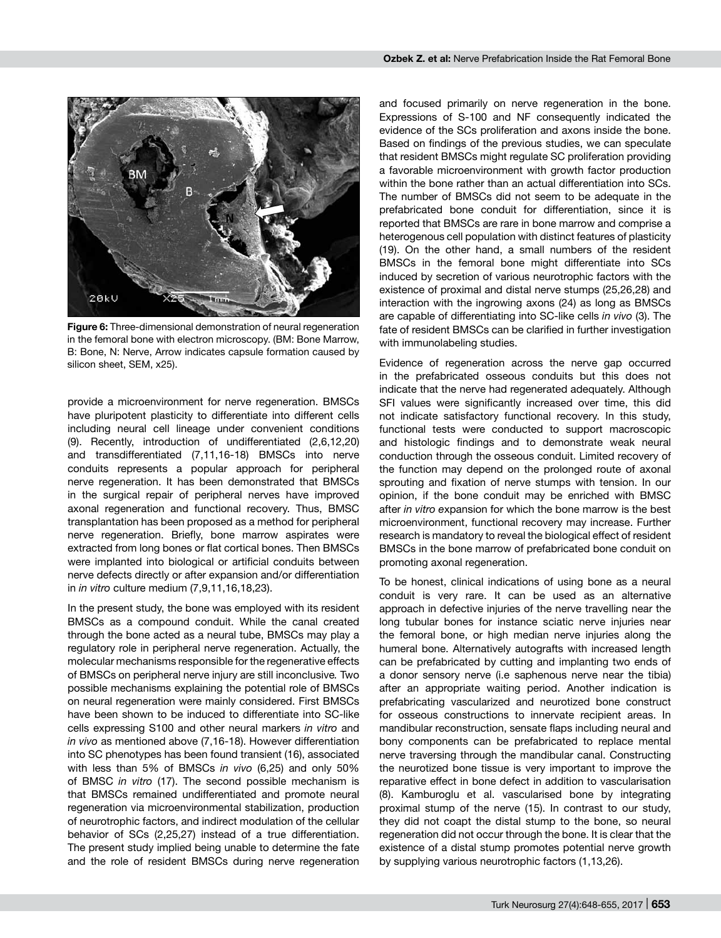

**Figure 6:** Three-dimensional demonstration of neural regeneration in the femoral bone with electron microscopy. (BM: Bone Marrow, B: Bone, N: Nerve, Arrow indicates capsule formation caused by silicon sheet, SEM, x25).

provide a microenvironment for nerve regeneration. BMSCs have pluripotent plasticity to differentiate into different cells including neural cell lineage under convenient conditions (9). Recently, introduction of undifferentiated (2,6,12,20) and transdifferentiated (7,11,16-18) BMSCs into nerve conduits represents a popular approach for peripheral nerve regeneration. It has been demonstrated that BMSCs in the surgical repair of peripheral nerves have improved axonal regeneration and functional recovery. Thus, BMSC transplantation has been proposed as a method for peripheral nerve regeneration. Briefly, bone marrow aspirates were extracted from long bones or flat cortical bones. Then BMSCs were implanted into biological or artificial conduits between nerve defects directly or after expansion and/or differentiation in *in vitro* culture medium (7,9,11,16,18,23).

In the present study, the bone was employed with its resident BMSCs as a compound conduit. While the canal created through the bone acted as a neural tube, BMSCs may play a regulatory role in peripheral nerve regeneration. Actually, the molecular mechanisms responsible for the regenerative effects of BMSCs on peripheral nerve injury are still inconclusive*.* Two possible mechanisms explaining the potential role of BMSCs on neural regeneration were mainly considered. First BMSCs have been shown to be induced to differentiate into SC-like cells expressing S100 and other neural markers *in vitro* and *in vivo* as mentioned above (7,16-18). However differentiation into SC phenotypes has been found transient (16), associated with less than 5% of BMSCs *in vivo* (6,25) and only 50% of BMSC *in vitro* (17). The second possible mechanism is that BMSCs remained undifferentiated and promote neural regeneration via microenvironmental stabilization, production of neurotrophic factors, and indirect modulation of the cellular behavior of SCs (2,25,27) instead of a true differentiation. The present study implied being unable to determine the fate and the role of resident BMSCs during nerve regeneration

and focused primarily on nerve regeneration in the bone. Expressions of S-100 and NF consequently indicated the evidence of the SCs proliferation and axons inside the bone. Based on findings of the previous studies, we can speculate that resident BMSCs might regulate SC proliferation providing a favorable microenvironment with growth factor production within the bone rather than an actual differentiation into SCs. The number of BMSCs did not seem to be adequate in the prefabricated bone conduit for differentiation, since it is reported that BMSCs are rare in bone marrow and comprise a heterogenous cell population with distinct features of plasticity (19). On the other hand, a small numbers of the resident BMSCs in the femoral bone might differentiate into SCs induced by secretion of various neurotrophic factors with the existence of proximal and distal nerve stumps (25,26,28) and interaction with the ingrowing axons (24) as long as BMSCs are capable of differentiating into SC-like cells *in vivo* (3). The fate of resident BMSCs can be clarified in further investigation with immunolabeling studies.

Evidence of regeneration across the nerve gap occurred in the prefabricated osseous conduits but this does not indicate that the nerve had regenerated adequately. Although SFI values were significantly increased over time, this did not indicate satisfactory functional recovery. In this study, functional tests were conducted to support macroscopic and histologic findings and to demonstrate weak neural conduction through the osseous conduit. Limited recovery of the function may depend on the prolonged route of axonal sprouting and fixation of nerve stumps with tension. In our opinion, if the bone conduit may be enriched with BMSC after *in vitro e*xpansion for which the bone marrow is the best microenvironment, functional recovery may increase. Further research is mandatory to reveal the biological effect of resident BMSCs in the bone marrow of prefabricated bone conduit on promoting axonal regeneration.

To be honest, clinical indications of using bone as a neural conduit is very rare. It can be used as an alternative approach in defective injuries of the nerve travelling near the long tubular bones for instance sciatic nerve injuries near the femoral bone, or high median nerve injuries along the humeral bone. Alternatively autografts with increased length can be prefabricated by cutting and implanting two ends of a donor sensory nerve (i.e saphenous nerve near the tibia) after an appropriate waiting period. Another indication is prefabricating vascularized and neurotized bone construct for osseous constructions to innervate recipient areas. In mandibular reconstruction, sensate flaps including neural and bony components can be prefabricated to replace mental nerve traversing through the mandibular canal. Constructing the neurotized bone tissue is very important to improve the reparative effect in bone defect in addition to vascularisation (8). Kamburoglu et al. vascularised bone by integrating proximal stump of the nerve (15). In contrast to our study, they did not coapt the distal stump to the bone, so neural regeneration did not occur through the bone. It is clear that the existence of a distal stump promotes potential nerve growth by supplying various neurotrophic factors (1,13,26).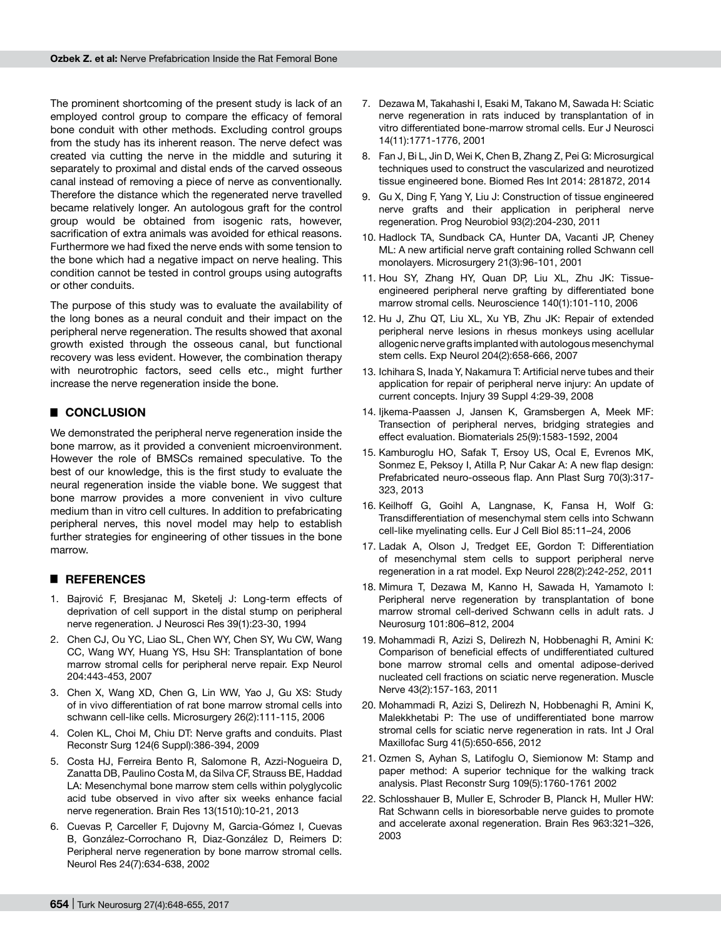The prominent shortcoming of the present study is lack of an employed control group to compare the efficacy of femoral bone conduit with other methods. Excluding control groups from the study has its inherent reason. The nerve defect was created via cutting the nerve in the middle and suturing it separately to proximal and distal ends of the carved osseous canal instead of removing a piece of nerve as conventionally. Therefore the distance which the regenerated nerve travelled became relatively longer. An autologous graft for the control group would be obtained from isogenic rats, however, sacrification of extra animals was avoided for ethical reasons. Furthermore we had fixed the nerve ends with some tension to the bone which had a negative impact on nerve healing. This condition cannot be tested in control groups using autografts or other conduits.

The purpose of this study was to evaluate the availability of the long bones as a neural conduit and their impact on the peripheral nerve regeneration. The results showed that axonal growth existed through the osseous canal, but functional recovery was less evident. However, the combination therapy with neurotrophic factors, seed cells etc., might further increase the nerve regeneration inside the bone.

# █ **CONCLUSION**

We demonstrated the peripheral nerve regeneration inside the bone marrow, as it provided a convenient microenvironment. However the role of BMSCs remained speculative. To the best of our knowledge, this is the first study to evaluate the neural regeneration inside the viable bone. We suggest that bone marrow provides a more convenient in vivo culture medium than in vitro cell cultures. In addition to prefabricating peripheral nerves, this novel model may help to establish further strategies for engineering of other tissues in the bone marrow.

## █ **REFERENCES**

- 1. Bajrović F, Bresjanac M, Sketelj J: Long-term effects of deprivation of cell support in the distal stump on peripheral nerve regeneration. J Neurosci Res 39(1):23-30, 1994
- 2. Chen CJ, Ou YC, Liao SL, Chen WY, Chen SY, Wu CW, Wang CC, Wang WY, Huang YS, Hsu SH: Transplantation of bone marrow stromal cells for peripheral nerve repair. Exp Neurol 204:443-453, 2007
- 3. Chen X, Wang XD, Chen G, Lin WW, Yao J, Gu XS: Study of in vivo differentiation of rat bone marrow stromal cells into schwann cell-like cells. Microsurgery 26(2):111-115, 2006
- 4. Colen KL, Choi M, Chiu DT: Nerve grafts and conduits. Plast Reconstr Surg 124(6 Suppl):386-394, 2009
- 5. Costa HJ, Ferreira Bento R, Salomone R, Azzi-Nogueira D, Zanatta DB, Paulino Costa M, da Silva CF, Strauss BE, Haddad LA: Mesenchymal bone marrow stem cells within polyglycolic acid tube observed in vivo after six weeks enhance facial nerve regeneration. Brain Res 13(1510):10-21, 2013
- 6. Cuevas P, Carceller F, Dujovny M, Garcia-Gómez I, Cuevas B, González-Corrochano R, Diaz-González D, Reimers D: Peripheral nerve regeneration by bone marrow stromal cells. Neurol Res 24(7):634-638, 2002
- 7. Dezawa M, Takahashi I, Esaki M, Takano M, Sawada H: Sciatic nerve regeneration in rats induced by transplantation of in vitro differentiated bone-marrow stromal cells. Eur J Neurosci 14(11):1771-1776, 2001
- 8. Fan J, Bi L, Jin D, Wei K, Chen B, Zhang Z, Pei G: Microsurgical techniques used to construct the vascularized and neurotized tissue engineered bone. Biomed Res Int 2014: 281872, 2014
- 9. Gu X, Ding F, Yang Y, Liu J: Construction of tissue engineered nerve grafts and their application in peripheral nerve regeneration. Prog Neurobiol 93(2):204-230, 2011
- 10. Hadlock TA, Sundback CA, Hunter DA, Vacanti JP, Cheney ML: A new artificial nerve graft containing rolled Schwann cell monolayers. Microsurgery 21(3):96-101, 2001
- 11. Hou SY, Zhang HY, Quan DP, Liu XL, Zhu JK: Tissueengineered peripheral nerve grafting by differentiated bone marrow stromal cells. Neuroscience 140(1):101-110, 2006
- 12. Hu J, Zhu QT, Liu XL, Xu YB, Zhu JK: Repair of extended peripheral nerve lesions in rhesus monkeys using acellular allogenic nerve grafts implanted with autologous mesenchymal stem cells. Exp Neurol 204(2):658-666, 2007
- 13. Ichihara S, Inada Y, Nakamura T: Artificial nerve tubes and their application for repair of peripheral nerve injury: An update of current concepts. Injury 39 Suppl 4:29-39, 2008
- 14. Ijkema-Paassen J, Jansen K, Gramsbergen A, Meek MF: Transection of peripheral nerves, bridging strategies and effect evaluation. Biomaterials 25(9):1583-1592, 2004
- 15. Kamburoglu HO, Safak T, Ersoy US, Ocal E, Evrenos MK, Sonmez E, Peksoy I, Atilla P, Nur Cakar A: A new flap design: Prefabricated neuro-osseous flap. Ann Plast Surg 70(3):317- 323, 2013
- 16. Keilhoff G, Goihl A, Langnase, K, Fansa H, Wolf G: Transdifferentiation of mesenchymal stem cells into Schwann cell-like myelinating cells. Eur J Cell Biol 85:11–24, 2006
- 17. Ladak A, Olson J, Tredget EE, Gordon T: Differentiation of mesenchymal stem cells to support peripheral nerve regeneration in a rat model. Exp Neurol 228(2):242-252, 2011
- 18. Mimura T, Dezawa M, Kanno H, Sawada H, Yamamoto I: Peripheral nerve regeneration by transplantation of bone marrow stromal cell-derived Schwann cells in adult rats. J Neurosurg 101:806–812, 2004
- 19. Mohammadi R, Azizi S, Delirezh N, Hobbenaghi R, Amini K: Comparison of beneficial effects of undifferentiated cultured bone marrow stromal cells and omental adipose-derived nucleated cell fractions on sciatic nerve regeneration. Muscle Nerve 43(2):157-163, 2011
- 20. Mohammadi R, Azizi S, Delirezh N, Hobbenaghi R, Amini K, Malekkhetabi P: The use of undifferentiated bone marrow stromal cells for sciatic nerve regeneration in rats. Int J Oral Maxillofac Surg 41(5):650-656, 2012
- 21. Ozmen S, Ayhan S, Latifoglu O, Siemionow M: Stamp and paper method: A superior technique for the walking track analysis. Plast Reconstr Surg 109(5):1760-1761 2002
- 22. Schlosshauer B, Muller E, Schroder B, Planck H, Muller HW: Rat Schwann cells in bioresorbable nerve guides to promote and accelerate axonal regeneration. Brain Res 963:321–326, 2003